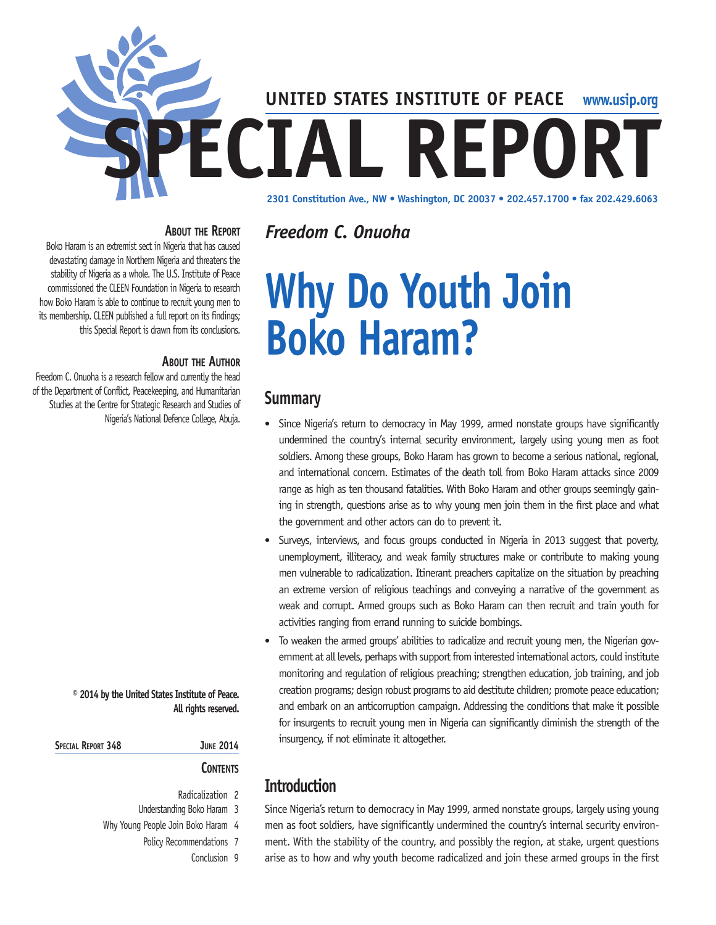

*Freedom C. Onuoha*

## **About the Report**

Boko Haram is an extremist sect in Nigeria that has caused devastating damage in Northern Nigeria and threatens the stability of Nigeria as a whole. The U.S. Institute of Peace commissioned the CLEEN Foundation in Nigeria to research how Boko Haram is able to continue to recruit young men to its membership. CLEEN published a full report on its findings; this Special Report is drawn from its conclusions.

## **About the Author**

Freedom C. Onuoha is a research fellow and currently the head of the Department of Conflict, Peacekeeping, and Humanitarian Studies at the Centre for Strategic Research and Studies of Nigeria's National Defence College, Abuja.

## **© 2014 by the United States Institute of Peace. All rights reserved.**

| SPECIAL REPORT 348 |  | <b>JUNE 2014</b> |
|--------------------|--|------------------|
|                    |  |                  |

## **Contents**

- Radicalization 2
- Understanding Boko Haram 3
- Why Young People Join Boko Haram 4
	- Policy Recommendations 7
		- Conclusion 9

# **Why Do Youth Join Boko Haram?**

## **Summary**

- Since Nigeria's return to democracy in May 1999, armed nonstate groups have significantly undermined the country's internal security environment, largely using young men as foot soldiers. Among these groups, Boko Haram has grown to become a serious national, regional, and international concern. Estimates of the death toll from Boko Haram attacks since 2009 range as high as ten thousand fatalities. With Boko Haram and other groups seemingly gaining in strength, questions arise as to why young men join them in the first place and what the government and other actors can do to prevent it.
- Surveys, interviews, and focus groups conducted in Nigeria in 2013 suggest that poverty, unemployment, illiteracy, and weak family structures make or contribute to making young men vulnerable to radicalization. Itinerant preachers capitalize on the situation by preaching an extreme version of religious teachings and conveying a narrative of the government as weak and corrupt. Armed groups such as Boko Haram can then recruit and train youth for activities ranging from errand running to suicide bombings.
- To weaken the armed groups' abilities to radicalize and recruit young men, the Nigerian government at all levels, perhaps with support from interested international actors, could institute monitoring and regulation of religious preaching; strengthen education, job training, and job creation programs; design robust programs to aid destitute children; promote peace education; and embark on an anticorruption campaign. Addressing the conditions that make it possible for insurgents to recruit young men in Nigeria can significantly diminish the strength of the insurgency, if not eliminate it altogether.

# **Introduction**

Since Nigeria's return to democracy in May 1999, armed nonstate groups, largely using young men as foot soldiers, have significantly undermined the country's internal security environment. With the stability of the country, and possibly the region, at stake, urgent questions arise as to how and why youth become radicalized and join these armed groups in the first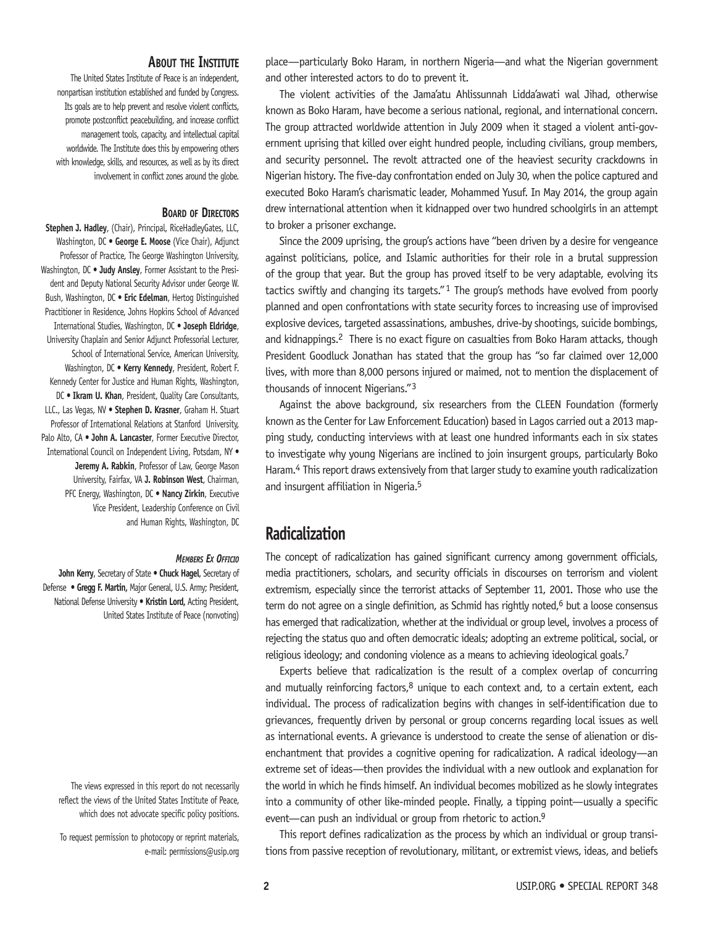## **About the Institute**

The United States Institute of Peace is an independent, nonpartisan institution established and funded by Congress. Its goals are to help prevent and resolve violent conflicts, promote postconflict peacebuilding, and increase conflict management tools, capacity, and intellectual capital worldwide. The Institute does this by empowering others with knowledge, skills, and resources, as well as by its direct involvement in conflict zones around the globe.

#### **Board of Directors**

**Stephen J. Hadley**, (Chair), Principal, RiceHadleyGates, LLC, Washington, DC • **George E. Moose** (Vice Chair), Adjunct Professor of Practice, The George Washington University, Washington, DC • **Judy Ansley**, Former Assistant to the President and Deputy National Security Advisor under George W. Bush, Washington, DC • **Eric Edelman**, Hertog Distinguished Practitioner in Residence, Johns Hopkins School of Advanced International Studies, Washington, DC • **Joseph Eldridge**, University Chaplain and Senior Adjunct Professorial Lecturer, School of International Service, American University, Washington, DC • **Kerry Kennedy**, President, Robert F. Kennedy Center for Justice and Human Rights, Washington, DC • **Ikram U. Khan**, President, Quality Care Consultants, LLC., Las Vegas, NV • **Stephen D. Krasner**, Graham H. Stuart Professor of International Relations at Stanford University, Palo Alto, CA • **John A. Lancaster**, Former Executive Director, International Council on Independent Living, Potsdam, NY • **Jeremy A. Rabkin**, Professor of Law, George Mason University, Fairfax, VA **J. Robinson West**, Chairman, PFC Energy, Washington, DC • **Nancy Zirkin**, Executive Vice President, Leadership Conference on Civil and Human Rights, Washington, DC

#### *Members Ex Officio*

**John Kerry**, Secretary of State **• Chuck Hagel**, Secretary of Defense **• Gregg F. Martin,** Major General, U.S. Army; President, National Defense University **• Kristin Lord,** Acting President, United States Institute of Peace (nonvoting)

The views expressed in this report do not necessarily reflect the views of the United States Institute of Peace, which does not advocate specific policy positions.

To request permission to photocopy or reprint materials, e-mail: permissions@usip.org place—particularly Boko Haram, in northern Nigeria—and what the Nigerian government and other interested actors to do to prevent it.

The violent activities of the Jama'atu Ahlissunnah Lidda'awati wal Jihad, otherwise known as Boko Haram, have become a serious national, regional, and international concern. The group attracted worldwide attention in July 2009 when it staged a violent anti-government uprising that killed over eight hundred people, including civilians, group members, and security personnel. The revolt attracted one of the heaviest security crackdowns in Nigerian history. The five-day confrontation ended on July 30, when the police captured and executed Boko Haram's charismatic leader, Mohammed Yusuf. In May 2014, the group again drew international attention when it kidnapped over two hundred schoolgirls in an attempt to broker a prisoner exchange.

Since the 2009 uprising, the group's actions have "been driven by a desire for vengeance against politicians, police, and Islamic authorities for their role in a brutal suppression of the group that year. But the group has proved itself to be very adaptable, evolving its tactics swiftly and changing its targets." $1$  The group's methods have evolved from poorly planned and open confrontations with state security forces to increasing use of improvised explosive devices, targeted assassinations, ambushes, drive-by shootings, suicide bombings, and kidnappings.<sup>2</sup> There is no exact figure on casualties from Boko Haram attacks, though President Goodluck Jonathan has stated that the group has "so far claimed over 12,000 lives, with more than 8,000 persons injured or maimed, not to mention the displacement of thousands of innocent Nigerians." 3

Against the above background, six researchers from the CLEEN Foundation (formerly known as the Center for Law Enforcement Education) based in Lagos carried out a 2013 mapping study, conducting interviews with at least one hundred informants each in six states to investigate why young Nigerians are inclined to join insurgent groups, particularly Boko Haram.4 This report draws extensively from that larger study to examine youth radicalization and insurgent affiliation in Nigeria.5

## **Radicalization**

The concept of radicalization has gained significant currency among government officials, media practitioners, scholars, and security officials in discourses on terrorism and violent extremism, especially since the terrorist attacks of September 11, 2001. Those who use the term do not agree on a single definition, as Schmid has rightly noted, $6$  but a loose consensus has emerged that radicalization, whether at the individual or group level, involves a process of rejecting the status quo and often democratic ideals; adopting an extreme political, social, or religious ideology; and condoning violence as a means to achieving ideological goals.<sup>7</sup>

Experts believe that radicalization is the result of a complex overlap of concurring and mutually reinforcing factors, $8$  unique to each context and, to a certain extent, each individual. The process of radicalization begins with changes in self-identification due to grievances, frequently driven by personal or group concerns regarding local issues as well as international events. A grievance is understood to create the sense of alienation or disenchantment that provides a cognitive opening for radicalization. A radical ideology—an extreme set of ideas—then provides the individual with a new outlook and explanation for the world in which he finds himself. An individual becomes mobilized as he slowly integrates into a community of other like-minded people. Finally, a tipping point—usually a specific event—can push an individual or group from rhetoric to action.<sup>9</sup>

This report defines radicalization as the process by which an individual or group transitions from passive reception of revolutionary, militant, or extremist views, ideas, and beliefs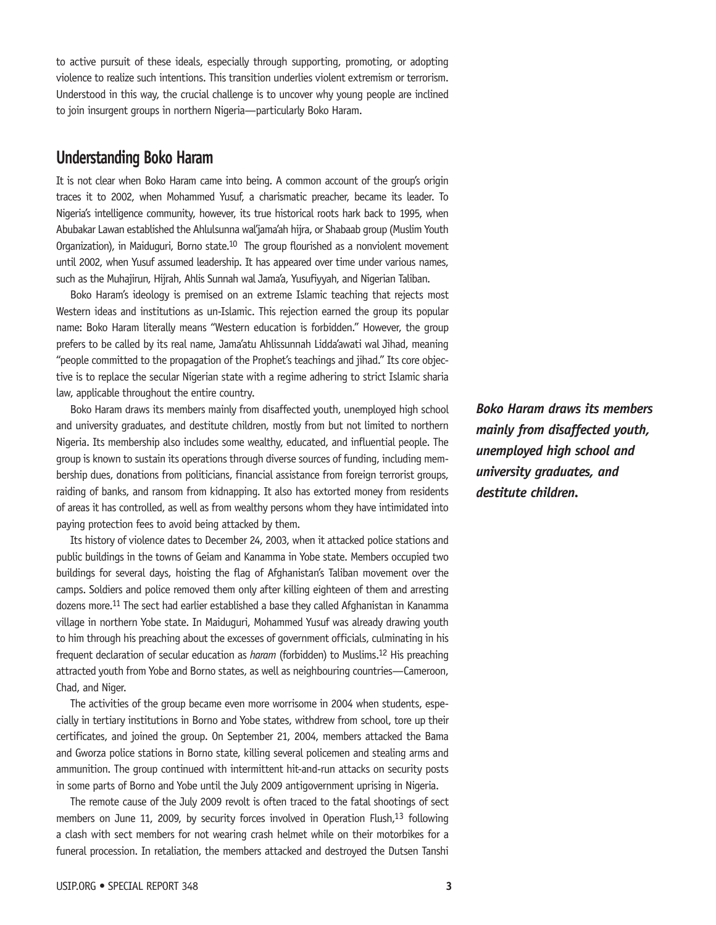to active pursuit of these ideals, especially through supporting, promoting, or adopting violence to realize such intentions. This transition underlies violent extremism or terrorism. Understood in this way, the crucial challenge is to uncover why young people are inclined to join insurgent groups in northern Nigeria—particularly Boko Haram.

# **Understanding Boko Haram**

It is not clear when Boko Haram came into being. A common account of the group's origin traces it to 2002, when Mohammed Yusuf, a charismatic preacher, became its leader. To Nigeria's intelligence community, however, its true historical roots hark back to 1995, when Abubakar Lawan established the Ahlulsunna wal'jama'ah hijra, or Shabaab group (Muslim Youth Organization), in Maiduguri, Borno state.<sup>10</sup> The group flourished as a nonviolent movement until 2002, when Yusuf assumed leadership. It has appeared over time under various names, such as the Muhajirun, Hijrah, Ahlis Sunnah wal Jama'a, Yusufiyyah, and Nigerian Taliban.

Boko Haram's ideology is premised on an extreme Islamic teaching that rejects most Western ideas and institutions as un-Islamic. This rejection earned the group its popular name: Boko Haram literally means "Western education is forbidden." However, the group prefers to be called by its real name, Jama'atu Ahlissunnah Lidda'awati wal Jihad, meaning "people committed to the propagation of the Prophet's teachings and jihad." Its core objective is to replace the secular Nigerian state with a regime adhering to strict Islamic sharia law, applicable throughout the entire country.

Boko Haram draws its members mainly from disaffected youth, unemployed high school and university graduates, and destitute children, mostly from but not limited to northern Nigeria. Its membership also includes some wealthy, educated, and influential people. The group is known to sustain its operations through diverse sources of funding, including membership dues, donations from politicians, financial assistance from foreign terrorist groups, raiding of banks, and ransom from kidnapping. It also has extorted money from residents of areas it has controlled, as well as from wealthy persons whom they have intimidated into paying protection fees to avoid being attacked by them.

Its history of violence dates to December 24, 2003, when it attacked police stations and public buildings in the towns of Geiam and Kanamma in Yobe state. Members occupied two buildings for several days, hoisting the flag of Afghanistan's Taliban movement over the camps. Soldiers and police removed them only after killing eighteen of them and arresting dozens more.<sup>11</sup> The sect had earlier established a base they called Afghanistan in Kanamma village in northern Yobe state. In Maiduguri, Mohammed Yusuf was already drawing youth to him through his preaching about the excesses of government officials, culminating in his frequent declaration of secular education as *haram* (forbidden) to Muslims.12 His preaching attracted youth from Yobe and Borno states, as well as neighbouring countries—Cameroon, Chad, and Niger.

The activities of the group became even more worrisome in 2004 when students, especially in tertiary institutions in Borno and Yobe states, withdrew from school, tore up their certificates, and joined the group. On September 21, 2004, members attacked the Bama and Gworza police stations in Borno state, killing several policemen and stealing arms and ammunition. The group continued with intermittent hit-and-run attacks on security posts in some parts of Borno and Yobe until the July 2009 antigovernment uprising in Nigeria.

The remote cause of the July 2009 revolt is often traced to the fatal shootings of sect members on June 11, 2009, by security forces involved in Operation Flush,<sup>13</sup> following a clash with sect members for not wearing crash helmet while on their motorbikes for a funeral procession. In retaliation, the members attacked and destroyed the Dutsen Tanshi

*Boko Haram draws its members mainly from disaffected youth, unemployed high school and university graduates, and destitute children.*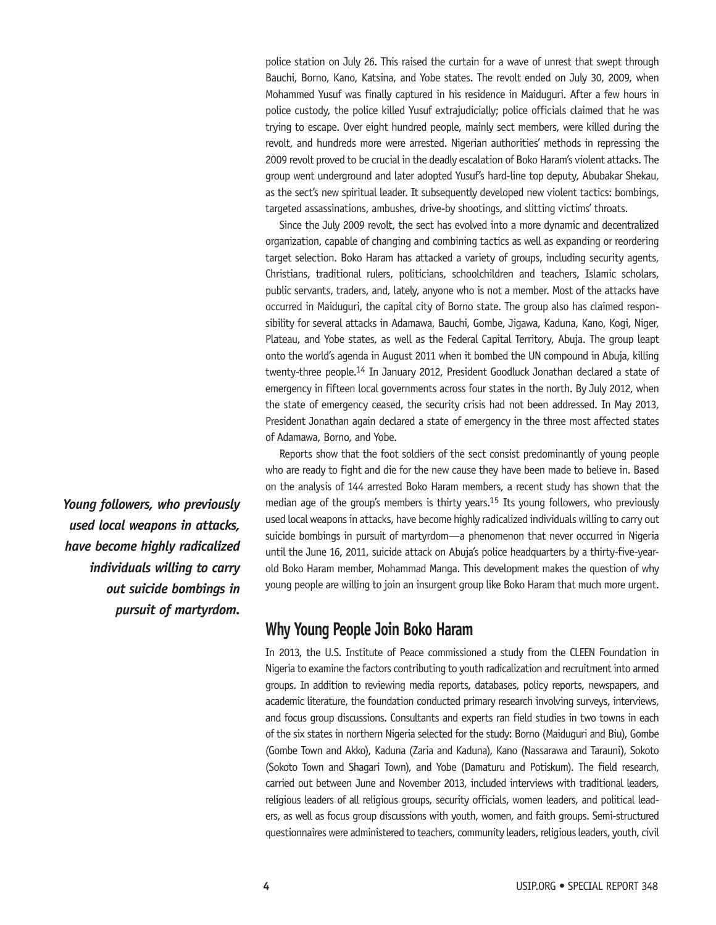police station on July 26. This raised the curtain for a wave of unrest that swept through Bauchi, Borno, Kano, Katsina, and Yobe states. The revolt ended on July 30, 2009, when Mohammed Yusuf was finally captured in his residence in Maiduguri. After a few hours in police custody, the police killed Yusuf extrajudicially; police officials claimed that he was trying to escape. Over eight hundred people, mainly sect members, were killed during the revolt, and hundreds more were arrested. Nigerian authorities' methods in repressing the 2009 revolt proved to be crucial in the deadly escalation of Boko Haram's violent attacks. The group went underground and later adopted Yusuf's hard-line top deputy, Abubakar Shekau, as the sect's new spiritual leader. It subsequently developed new violent tactics: bombings, targeted assassinations, ambushes, drive-by shootings, and slitting victims' throats.

Since the July 2009 revolt, the sect has evolved into a more dynamic and decentralized organization, capable of changing and combining tactics as well as expanding or reordering target selection. Boko Haram has attacked a variety of groups, including security agents, Christians, traditional rulers, politicians, schoolchildren and teachers, Islamic scholars, public servants, traders, and, lately, anyone who is not a member. Most of the attacks have occurred in Maiduguri, the capital city of Borno state. The group also has claimed responsibility for several attacks in Adamawa, Bauchi, Gombe, Jigawa, Kaduna, Kano, Kogi, Niger, Plateau, and Yobe states, as well as the Federal Capital Territory, Abuja. The group leapt onto the world's agenda in August 2011 when it bombed the UN compound in Abuja, killing twenty-three people.14 In January 2012, President Goodluck Jonathan declared a state of emergency in fifteen local governments across four states in the north. By July 2012, when the state of emergency ceased, the security crisis had not been addressed. In May 2013, President Jonathan again declared a state of emergency in the three most affected states of Adamawa, Borno, and Yobe.

Reports show that the foot soldiers of the sect consist predominantly of young people who are ready to fight and die for the new cause they have been made to believe in. Based on the analysis of 144 arrested Boko Haram members, a recent study has shown that the median age of the group's members is thirty years.<sup>15</sup> Its young followers, who previously used local weapons in attacks, have become highly radicalized individuals willing to carry out suicide bombings in pursuit of martyrdom—a phenomenon that never occurred in Nigeria until the June 16, 2011, suicide attack on Abuja's police headquarters by a thirty-five-yearold Boko Haram member, Mohammad Manga. This development makes the question of why young people are willing to join an insurgent group like Boko Haram that much more urgent.

## **Why Young People Join Boko Haram**

In 2013, the U.S. Institute of Peace commissioned a study from the CLEEN Foundation in Nigeria to examine the factors contributing to youth radicalization and recruitment into armed groups. In addition to reviewing media reports, databases, policy reports, newspapers, and academic literature, the foundation conducted primary research involving surveys, interviews, and focus group discussions. Consultants and experts ran field studies in two towns in each of the six states in northern Nigeria selected for the study: Borno (Maiduguri and Biu), Gombe (Gombe Town and Akko), Kaduna (Zaria and Kaduna), Kano (Nassarawa and Tarauni), Sokoto (Sokoto Town and Shagari Town), and Yobe (Damaturu and Potiskum). The field research, carried out between June and November 2013, included interviews with traditional leaders, religious leaders of all religious groups, security officials, women leaders, and political leaders, as well as focus group discussions with youth, women, and faith groups. Semi-structured questionnaires were administered to teachers, community leaders, religious leaders, youth, civil

*Young followers, who previously used local weapons in attacks, have become highly radicalized individuals willing to carry out suicide bombings in pursuit of martyrdom.*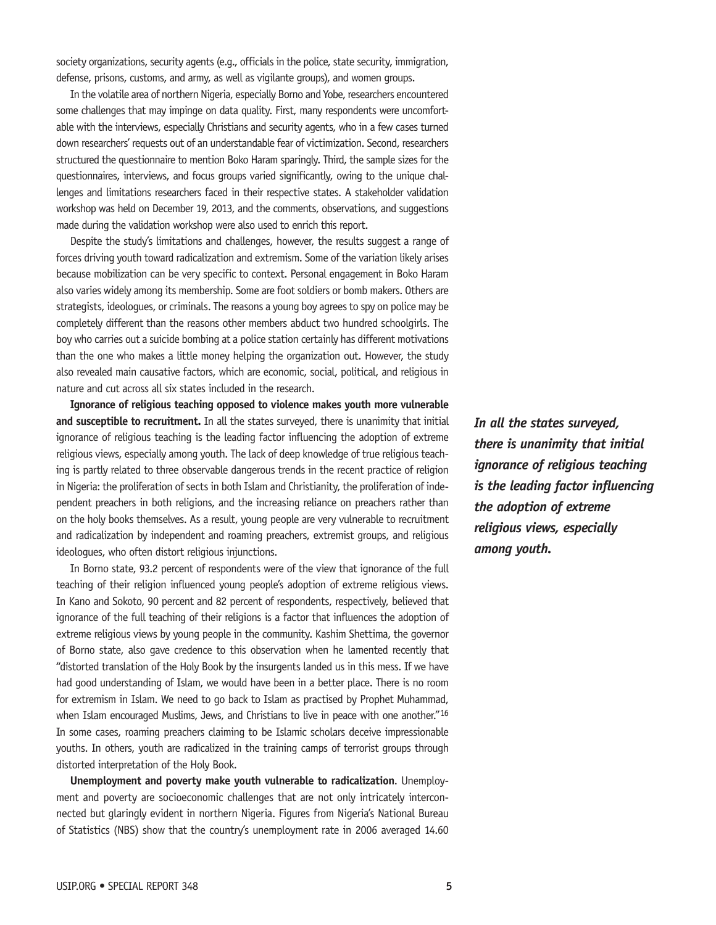society organizations, security agents (e.g., officials in the police, state security, immigration, defense, prisons, customs, and army, as well as vigilante groups), and women groups.

In the volatile area of northern Nigeria, especially Borno and Yobe, researchers encountered some challenges that may impinge on data quality. First, many respondents were uncomfortable with the interviews, especially Christians and security agents, who in a few cases turned down researchers' requests out of an understandable fear of victimization. Second, researchers structured the questionnaire to mention Boko Haram sparingly. Third, the sample sizes for the questionnaires, interviews, and focus groups varied significantly, owing to the unique challenges and limitations researchers faced in their respective states. A stakeholder validation workshop was held on December 19, 2013, and the comments, observations, and suggestions made during the validation workshop were also used to enrich this report.

Despite the study's limitations and challenges, however, the results suggest a range of forces driving youth toward radicalization and extremism. Some of the variation likely arises because mobilization can be very specific to context. Personal engagement in Boko Haram also varies widely among its membership. Some are foot soldiers or bomb makers. Others are strategists, ideologues, or criminals. The reasons a young boy agrees to spy on police may be completely different than the reasons other members abduct two hundred schoolgirls. The boy who carries out a suicide bombing at a police station certainly has different motivations than the one who makes a little money helping the organization out. However, the study also revealed main causative factors, which are economic, social, political, and religious in nature and cut across all six states included in the research.

**Ignorance of religious teaching opposed to violence makes youth more vulnerable and susceptible to recruitment.** In all the states surveyed, there is unanimity that initial ignorance of religious teaching is the leading factor influencing the adoption of extreme religious views, especially among youth. The lack of deep knowledge of true religious teaching is partly related to three observable dangerous trends in the recent practice of religion in Nigeria: the proliferation of sects in both Islam and Christianity, the proliferation of independent preachers in both religions, and the increasing reliance on preachers rather than on the holy books themselves. As a result, young people are very vulnerable to recruitment and radicalization by independent and roaming preachers, extremist groups, and religious ideologues, who often distort religious injunctions.

In Borno state, 93.2 percent of respondents were of the view that ignorance of the full teaching of their religion influenced young people's adoption of extreme religious views. In Kano and Sokoto, 90 percent and 82 percent of respondents, respectively, believed that ignorance of the full teaching of their religions is a factor that influences the adoption of extreme religious views by young people in the community. Kashim Shettima, the governor of Borno state, also gave credence to this observation when he lamented recently that "distorted translation of the Holy Book by the insurgents landed us in this mess. If we have had good understanding of Islam, we would have been in a better place. There is no room for extremism in Islam. We need to go back to Islam as practised by Prophet Muhammad, when Islam encouraged Muslims, Jews, and Christians to live in peace with one another."<sup>16</sup> In some cases, roaming preachers claiming to be Islamic scholars deceive impressionable youths. In others, youth are radicalized in the training camps of terrorist groups through distorted interpretation of the Holy Book.

**Unemployment and poverty make youth vulnerable to radicalization**. Unemployment and poverty are socioeconomic challenges that are not only intricately interconnected but glaringly evident in northern Nigeria. Figures from Nigeria's National Bureau of Statistics (NBS) show that the country's unemployment rate in 2006 averaged 14.60 *In all the states surveyed, there is unanimity that initial ignorance of religious teaching is the leading factor influencing the adoption of extreme religious views, especially among youth.*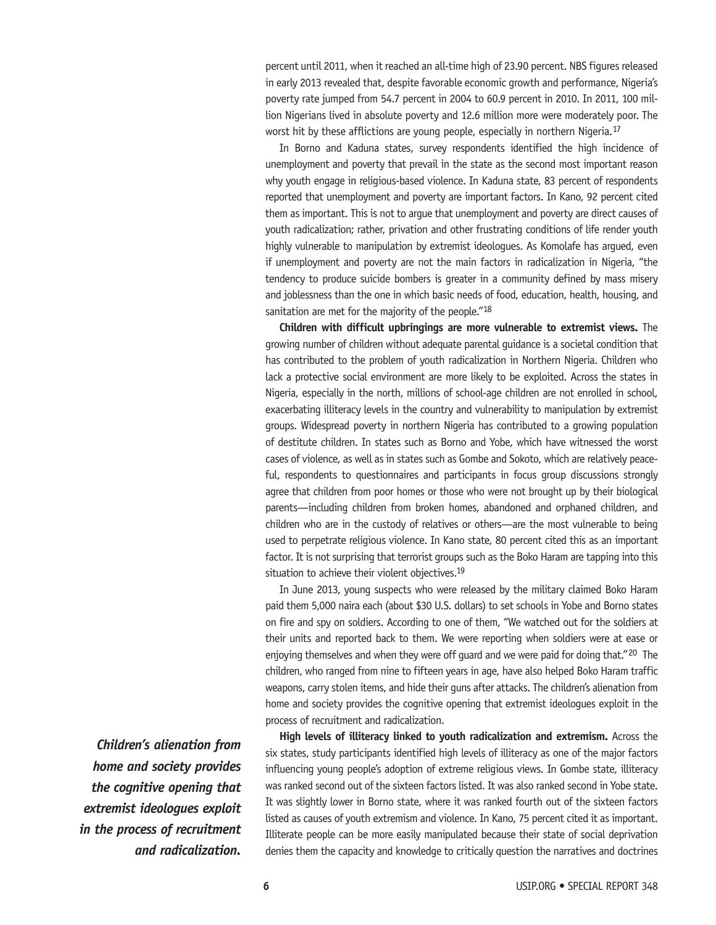percent until 2011, when it reached an all-time high of 23.90 percent. NBS figures released in early 2013 revealed that, despite favorable economic growth and performance, Nigeria's poverty rate jumped from 54.7 percent in 2004 to 60.9 percent in 2010. In 2011, 100 million Nigerians lived in absolute poverty and 12.6 million more were moderately poor. The worst hit by these afflictions are young people, especially in northern Nigeria.<sup>17</sup>

In Borno and Kaduna states, survey respondents identified the high incidence of unemployment and poverty that prevail in the state as the second most important reason why youth engage in religious-based violence. In Kaduna state, 83 percent of respondents reported that unemployment and poverty are important factors. In Kano, 92 percent cited them as important. This is not to argue that unemployment and poverty are direct causes of youth radicalization; rather, privation and other frustrating conditions of life render youth highly vulnerable to manipulation by extremist ideologues. As Komolafe has argued, even if unemployment and poverty are not the main factors in radicalization in Nigeria, "the tendency to produce suicide bombers is greater in a community defined by mass misery and joblessness than the one in which basic needs of food, education, health, housing, and sanitation are met for the majority of the people."<sup>18</sup>

**Children with difficult upbringings are more vulnerable to extremist views.** The growing number of children without adequate parental guidance is a societal condition that has contributed to the problem of youth radicalization in Northern Nigeria. Children who lack a protective social environment are more likely to be exploited. Across the states in Nigeria, especially in the north, millions of school-age children are not enrolled in school, exacerbating illiteracy levels in the country and vulnerability to manipulation by extremist groups. Widespread poverty in northern Nigeria has contributed to a growing population of destitute children. In states such as Borno and Yobe, which have witnessed the worst cases of violence, as well as in states such as Gombe and Sokoto, which are relatively peaceful, respondents to questionnaires and participants in focus group discussions strongly agree that children from poor homes or those who were not brought up by their biological parents—including children from broken homes, abandoned and orphaned children, and children who are in the custody of relatives or others—are the most vulnerable to being used to perpetrate religious violence. In Kano state, 80 percent cited this as an important factor. It is not surprising that terrorist groups such as the Boko Haram are tapping into this situation to achieve their violent objectives.<sup>19</sup>

In June 2013, young suspects who were released by the military claimed Boko Haram paid them 5,000 naira each (about \$30 U.S. dollars) to set schools in Yobe and Borno states on fire and spy on soldiers. According to one of them, "We watched out for the soldiers at their units and reported back to them. We were reporting when soldiers were at ease or enjoying themselves and when they were off guard and we were paid for doing that."<sup>20</sup> The children, who ranged from nine to fifteen years in age, have also helped Boko Haram traffic weapons, carry stolen items, and hide their guns after attacks. The children's alienation from home and society provides the cognitive opening that extremist ideologues exploit in the process of recruitment and radicalization.

**High levels of illiteracy linked to youth radicalization and extremism.** Across the six states, study participants identified high levels of illiteracy as one of the major factors influencing young people's adoption of extreme religious views. In Gombe state, illiteracy was ranked second out of the sixteen factors listed. It was also ranked second in Yobe state. It was slightly lower in Borno state, where it was ranked fourth out of the sixteen factors listed as causes of youth extremism and violence. In Kano, 75 percent cited it as important. Illiterate people can be more easily manipulated because their state of social deprivation denies them the capacity and knowledge to critically question the narratives and doctrines

*Children's alienation from home and society provides the cognitive opening that extremist ideologues exploit in the process of recruitment and radicalization.*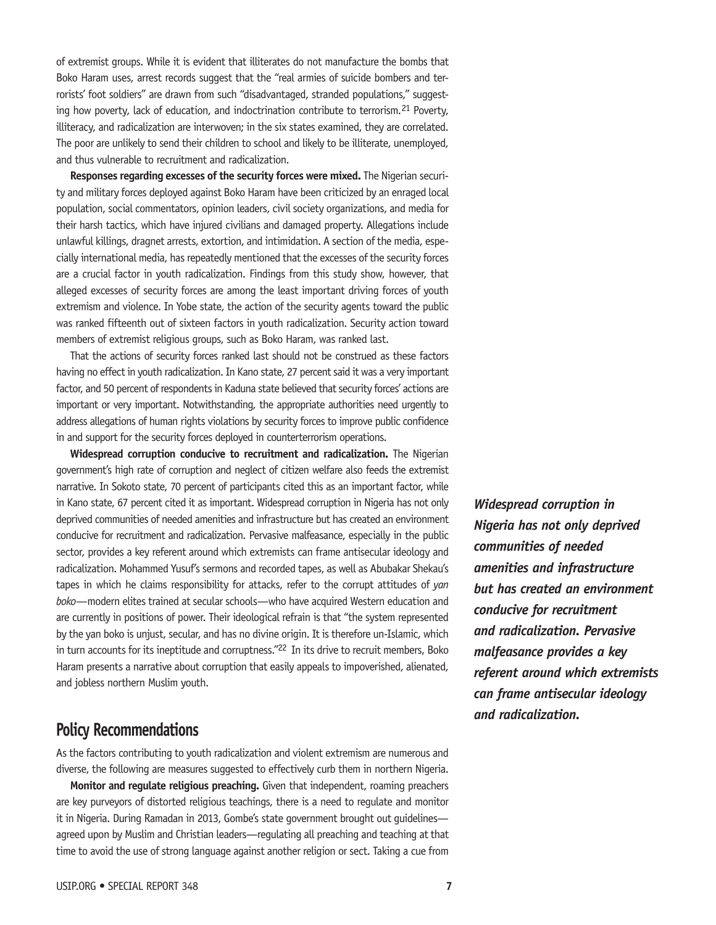of extremist groups. While it is evident that illiterates do not manufacture the bombs that Boko Haram uses, arrest records suggest that the "real armies of suicide bombers and terrorists' foot soldiers" are drawn from such "disadvantaged, stranded populations," suggesting how poverty, lack of education, and indoctrination contribute to terrorism.<sup>21</sup> Poverty, illiteracy, and radicalization are interwoven; in the six states examined, they are correlated. The poor are unlikely to send their children to school and likely to be illiterate, unemployed, and thus vulnerable to recruitment and radicalization.

**Responses regarding excesses of the security forces were mixed.** The Nigerian security and military forces deployed against Boko Haram have been criticized by an enraged local population, social commentators, opinion leaders, civil society organizations, and media for their harsh tactics, which have injured civilians and damaged property. Allegations include unlawful killings, dragnet arrests, extortion, and intimidation. A section of the media, especially international media, has repeatedly mentioned that the excesses of the security forces are a crucial factor in youth radicalization. Findings from this study show, however, that alleged excesses of security forces are among the least important driving forces of youth extremism and violence. In Yobe state, the action of the security agents toward the public was ranked fifteenth out of sixteen factors in youth radicalization. Security action toward members of extremist religious groups, such as Boko Haram, was ranked last.

That the actions of security forces ranked last should not be construed as these factors having no effect in youth radicalization. In Kano state, 27 percent said it was a very important factor, and 50 percent of respondents in Kaduna state believed that security forces' actions are important or very important. Notwithstanding, the appropriate authorities need urgently to address allegations of human rights violations by security forces to improve public confidence in and support for the security forces deployed in counterterrorism operations.

**Widespread corruption conducive to recruitment and radicalization.** The Nigerian government's high rate of corruption and neglect of citizen welfare also feeds the extremist narrative. In Sokoto state, 70 percent of participants cited this as an important factor, while in Kano state, 67 percent cited it as important. Widespread corruption in Nigeria has not only deprived communities of needed amenities and infrastructure but has created an environment conducive for recruitment and radicalization. Pervasive malfeasance, especially in the public sector, provides a key referent around which extremists can frame antisecular ideology and radicalization. Mohammed Yusuf's sermons and recorded tapes, as well as Abubakar Shekau's tapes in which he claims responsibility for attacks, refer to the corrupt attitudes of *yan boko*—modern elites trained at secular schools—who have acquired Western education and are currently in positions of power. Their ideological refrain is that "the system represented by the yan boko is unjust, secular, and has no divine origin. It is therefore un-Islamic, which in turn accounts for its ineptitude and corruptness."<sup>22</sup> In its drive to recruit members, Boko Haram presents a narrative about corruption that easily appeals to impoverished, alienated, and jobless northern Muslim youth.

# **Policy Recommendations**

As the factors contributing to youth radicalization and violent extremism are numerous and diverse, the following are measures suggested to effectively curb them in northern Nigeria.

**Monitor and regulate religious preaching.** Given that independent, roaming preachers are key purveyors of distorted religious teachings, there is a need to regulate and monitor it in Nigeria. During Ramadan in 2013, Gombe's state government brought out guidelines agreed upon by Muslim and Christian leaders—regulating all preaching and teaching at that time to avoid the use of strong language against another religion or sect. Taking a cue from

*Widespread corruption in Nigeria has not only deprived communities of needed amenities and infrastructure but has created an environment conducive for recruitment and radicalization. Pervasive malfeasance provides a key referent around which extremists can frame antisecular ideology and radicalization.*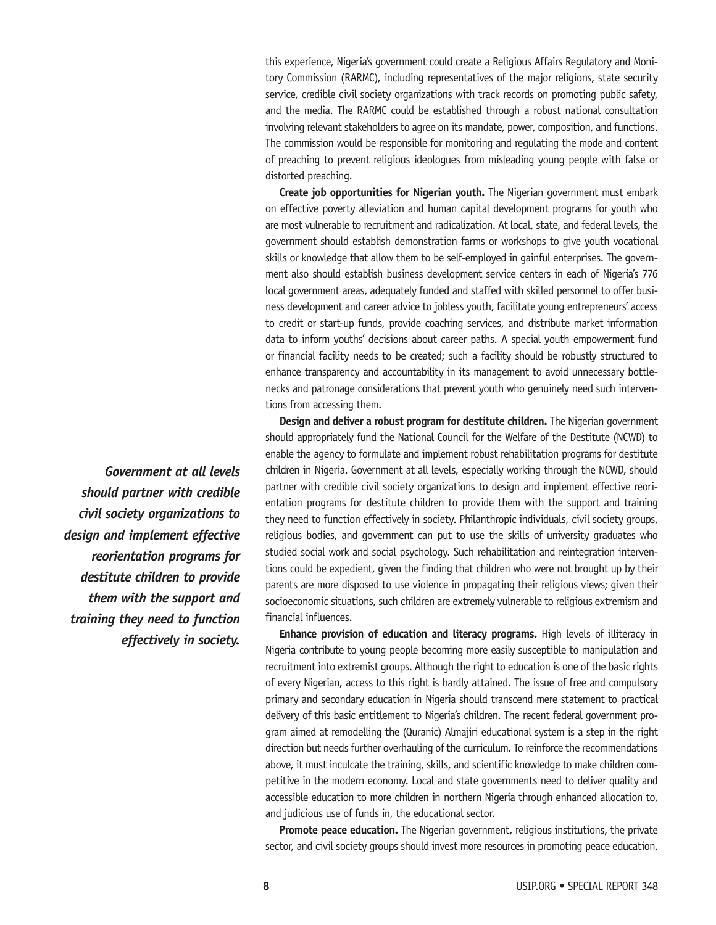this experience, Nigeria's government could create a Religious Affairs Regulatory and Monitory Commission (RARMC), including representatives of the major religions, state security service, credible civil society organizations with track records on promoting public safety, and the media. The RARMC could be established through a robust national consultation involving relevant stakeholders to agree on its mandate, power, composition, and functions. The commission would be responsible for monitoring and regulating the mode and content of preaching to prevent religious ideologues from misleading young people with false or distorted preaching.

**Create job opportunities for Nigerian youth.** The Nigerian government must embark on effective poverty alleviation and human capital development programs for youth who are most vulnerable to recruitment and radicalization. At local, state, and federal levels, the government should establish demonstration farms or workshops to give youth vocational skills or knowledge that allow them to be self-employed in gainful enterprises. The government also should establish business development service centers in each of Nigeria's 776 local government areas, adequately funded and staffed with skilled personnel to offer business development and career advice to jobless youth, facilitate young entrepreneurs' access to credit or start-up funds, provide coaching services, and distribute market information data to inform youths' decisions about career paths. A special youth empowerment fund or financial facility needs to be created; such a facility should be robustly structured to enhance transparency and accountability in its management to avoid unnecessary bottlenecks and patronage considerations that prevent youth who genuinely need such interventions from accessing them.

**Design and deliver a robust program for destitute children.** The Nigerian government should appropriately fund the National Council for the Welfare of the Destitute (NCWD) to enable the agency to formulate and implement robust rehabilitation programs for destitute children in Nigeria. Government at all levels, especially working through the NCWD, should partner with credible civil society organizations to design and implement effective reorientation programs for destitute children to provide them with the support and training they need to function effectively in society. Philanthropic individuals, civil society groups, religious bodies, and government can put to use the skills of university graduates who studied social work and social psychology. Such rehabilitation and reintegration interventions could be expedient, given the finding that children who were not brought up by their parents are more disposed to use violence in propagating their religious views; given their socioeconomic situations, such children are extremely vulnerable to religious extremism and financial influences.

**Enhance provision of education and literacy programs.** High levels of illiteracy in Nigeria contribute to young people becoming more easily susceptible to manipulation and recruitment into extremist groups. Although the right to education is one of the basic rights of every Nigerian, access to this right is hardly attained. The issue of free and compulsory primary and secondary education in Nigeria should transcend mere statement to practical delivery of this basic entitlement to Nigeria's children. The recent federal government program aimed at remodelling the (Quranic) Almajiri educational system is a step in the right direction but needs further overhauling of the curriculum. To reinforce the recommendations above, it must inculcate the training, skills, and scientific knowledge to make children competitive in the modern economy. Local and state governments need to deliver quality and accessible education to more children in northern Nigeria through enhanced allocation to, and judicious use of funds in, the educational sector.

**Promote peace education.** The Nigerian government, religious institutions, the private sector, and civil society groups should invest more resources in promoting peace education,

*Government at all levels should partner with credible civil society organizations to design and implement effective reorientation programs for destitute children to provide them with the support and training they need to function effectively in society.*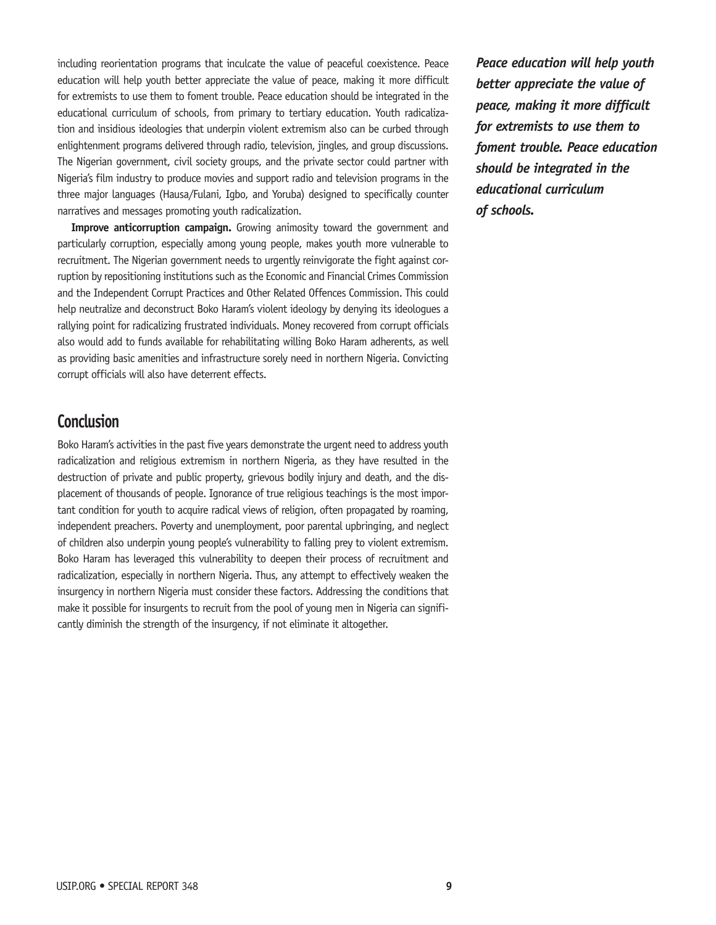including reorientation programs that inculcate the value of peaceful coexistence. Peace education will help youth better appreciate the value of peace, making it more difficult for extremists to use them to foment trouble. Peace education should be integrated in the educational curriculum of schools, from primary to tertiary education. Youth radicalization and insidious ideologies that underpin violent extremism also can be curbed through enlightenment programs delivered through radio, television, jingles, and group discussions. The Nigerian government, civil society groups, and the private sector could partner with Nigeria's film industry to produce movies and support radio and television programs in the three major languages (Hausa/Fulani, Igbo, and Yoruba) designed to specifically counter narratives and messages promoting youth radicalization.

**Improve anticorruption campaign.** Growing animosity toward the government and particularly corruption, especially among young people, makes youth more vulnerable to recruitment. The Nigerian government needs to urgently reinvigorate the fight against corruption by repositioning institutions such as the Economic and Financial Crimes Commission and the Independent Corrupt Practices and Other Related Offences Commission. This could help neutralize and deconstruct Boko Haram's violent ideology by denying its ideologues a rallying point for radicalizing frustrated individuals. Money recovered from corrupt officials also would add to funds available for rehabilitating willing Boko Haram adherents, as well as providing basic amenities and infrastructure sorely need in northern Nigeria. Convicting corrupt officials will also have deterrent effects.

# **Conclusion**

Boko Haram's activities in the past five years demonstrate the urgent need to address youth radicalization and religious extremism in northern Nigeria, as they have resulted in the destruction of private and public property, grievous bodily injury and death, and the displacement of thousands of people. Ignorance of true religious teachings is the most important condition for youth to acquire radical views of religion, often propagated by roaming, independent preachers. Poverty and unemployment, poor parental upbringing, and neglect of children also underpin young people's vulnerability to falling prey to violent extremism. Boko Haram has leveraged this vulnerability to deepen their process of recruitment and radicalization, especially in northern Nigeria. Thus, any attempt to effectively weaken the insurgency in northern Nigeria must consider these factors. Addressing the conditions that make it possible for insurgents to recruit from the pool of young men in Nigeria can significantly diminish the strength of the insurgency, if not eliminate it altogether.

*Peace education will help youth better appreciate the value of peace, making it more difficult for extremists to use them to foment trouble. Peace education should be integrated in the educational curriculum of schools.*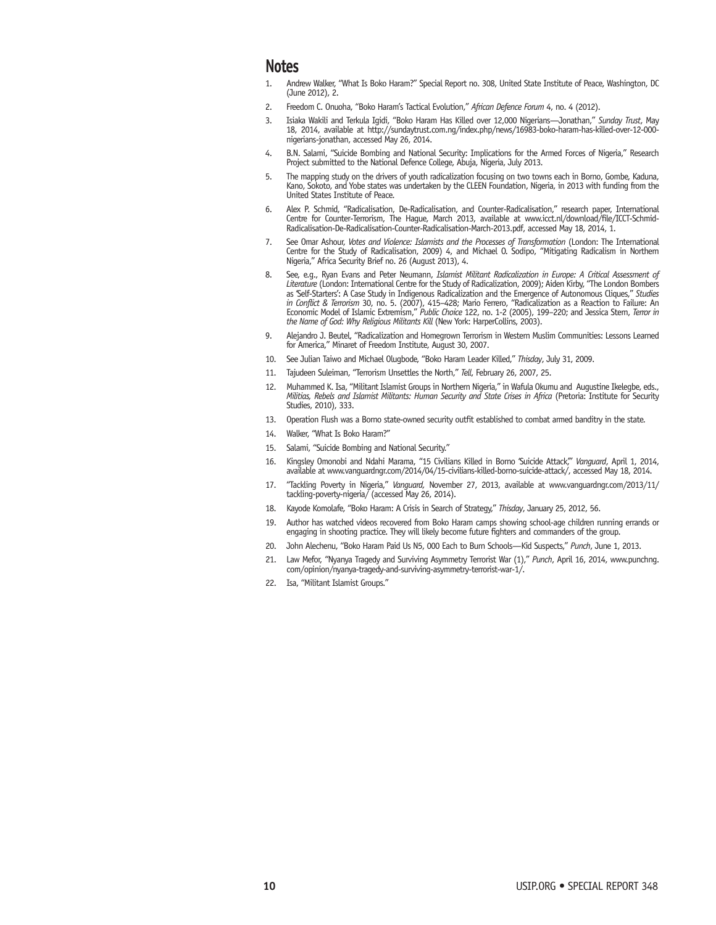## **Notes**

- 1. Andrew Walker, "What Is Boko Haram?" Special Report no. 308, United State Institute of Peace, Washington, DC (June 2012), 2.
- 2. Freedom C. Onuoha, "Boko Haram's Tactical Evolution," *African Defence Forum* 4, no. 4 (2012).
- 3. [Isiaka Wakili and Terkula Igidi, "Boko Haram Has Killed over 12,000 Nigerians—Jonathan,"](http://sundaytrust.com.ng/index.php/news/16983-boko-haram-has-killed-over-12-000-nigerians-jonathan,) *Sunday Trust*, May 18, 2014, available at http://sundaytrust.com.ng/index.php/news/16983-boko-haram-has-killed-over-12-000 nigerians-jonathan, accessed May 26, 2014.
- 4. B.N. Salami, "Suicide Bombing and National Security: Implications for the Armed Forces of Nigeria," Research Project submitted to the National Defence College, Abuja, Nigeria, July 2013.
- 5. The mapping study on the drivers of youth radicalization focusing on two towns each in Borno, Gombe, Kaduna, Kano, Sokoto, and Yobe states was undertaken by the CLEEN Foundation, Nigeria, in 2013 with funding from the United States Institute of Peace.
- 6. Alex P. Schmid, "Radicalisation, De-Radicalisation, and Counter-Radicalisation," research paper, International [Centre for Counter-Terrorism, The Hague, March 2013, available at www.icct.nl/download/file/ICCT-Schmid-](http://www.icct.nl/download/file/ICCT-Schmid-Radicalisation-De-Radicalisation-Counter-Radicalisation-March-2013.pdf)Radicalisation-De-Radicalisation-Counter-Radicalisation-March-2013.pdf, accessed May 18, 2014, 1.
- 7. See Omar Ashour, *Votes and Violence: Islamists and the Processes of Transformation* (London: The International Centre for the Study of Radicalisation, 2009) 4, and Michael O. Sodipo, "Mitigating Radicalism in Northern Nigeria," Africa Security Brief no. 26 (August 2013), 4.
- 8. See, e.g., Ryan Evans and Peter Neumann, *Islamist Militant Radicalization in Europe: A Critical Assessment of Literature* (London: International Centre for the Study of Radicalization, 2009); Aiden Kirby, "The London Bombers as 'Self-Starters': A Case Study in Indigenous Radicalization and the Emergence of Autonomous Cliques," *Studies in Conflict & Terrorism* 30, no. 5. (2007), 415–428; Mario Ferrero, "Radicalization as a Reaction to Failure: An Economic Model of Islamic Extremism," *Public Choice* 122, no. 1-2 (2005), 199–220; and Jessica Stern, *Terror in the Name of God: Why Religious Militants Kill* (New York: HarperCollins, 2003).
- 9. Alejandro J. Beutel, "Radicalization and Homegrown Terrorism in Western Muslim Communities: Lessons Learned for America," Minaret of Freedom Institute, August 30, 2007.
- 10. See Julian Taiwo and Michael Olugbode, "Boko Haram Leader Killed," *Thisday*, July 31, 2009.
- 11. Tajudeen Suleiman, "Terrorism Unsettles the North," *Tell*, February 26, 2007, 25.
- 12. Muhammed K. Isa, "Militant Islamist Groups in Northern Nigeria," in Wafula Okumu and Augustine Ikelegbe, eds., *Militias, Rebels and Islamist Militants: Human Security and State Crises in Africa* (Pretoria: Institute for Security Studies, 2010), 333.
- 13. Operation Flush was a Borno state-owned security outfit established to combat armed banditry in the state.
- 14. Walker, "What Is Boko Haram?"
- 15. Salami, "Suicide Bombing and National Security."
- 16. Kingsley Omonobi and Ndahi Marama, "15 Civilians Killed in Borno 'Suicide Attack,'" *Vanguard*, April 1, 2014, available at www.vanguardngr.com/2014/04/15-civilians-killed-borno-suicide-attack/, accessed May 18, 2014.
- 17. "Tackling Poverty in Nigeria," *Vanguard,* [November 27, 2013, available at www.vanguardngr.com/2013/11/](www.vanguardngr.com/2013/11/tackling-poverty-nigeria/) tackling-poverty-nigeria/ (accessed May 26, 2014).
- 18. Kayode Komolafe, "Boko Haram: A Crisis in Search of Strategy," *Thisday*, January 25, 2012, 56.
- 19. Author has watched videos recovered from Boko Haram camps showing school-age children running errands or engaging in shooting practice. They will likely become future fighters and commanders of the group.
- 20. John Alechenu, "Boko Haram Paid Us N5, 000 Each to Burn Schools—Kid Suspects," *Punch*, June 1, 2013.
- 21. [Law Mefor, "Nyanya Tragedy and Surviving Asymmetry Terrorist War \(1\),"](http://www.punchng.com/opinion/nyanya-tragedy-and-surviving-asymmetry-terrorist-war-1/) *Punch*, April 16, 2014, www.punchng. com/opinion/nyanya-tragedy-and-surviving-asymmetry-terrorist-war-1/.
- 22. Isa, "Militant Islamist Groups."